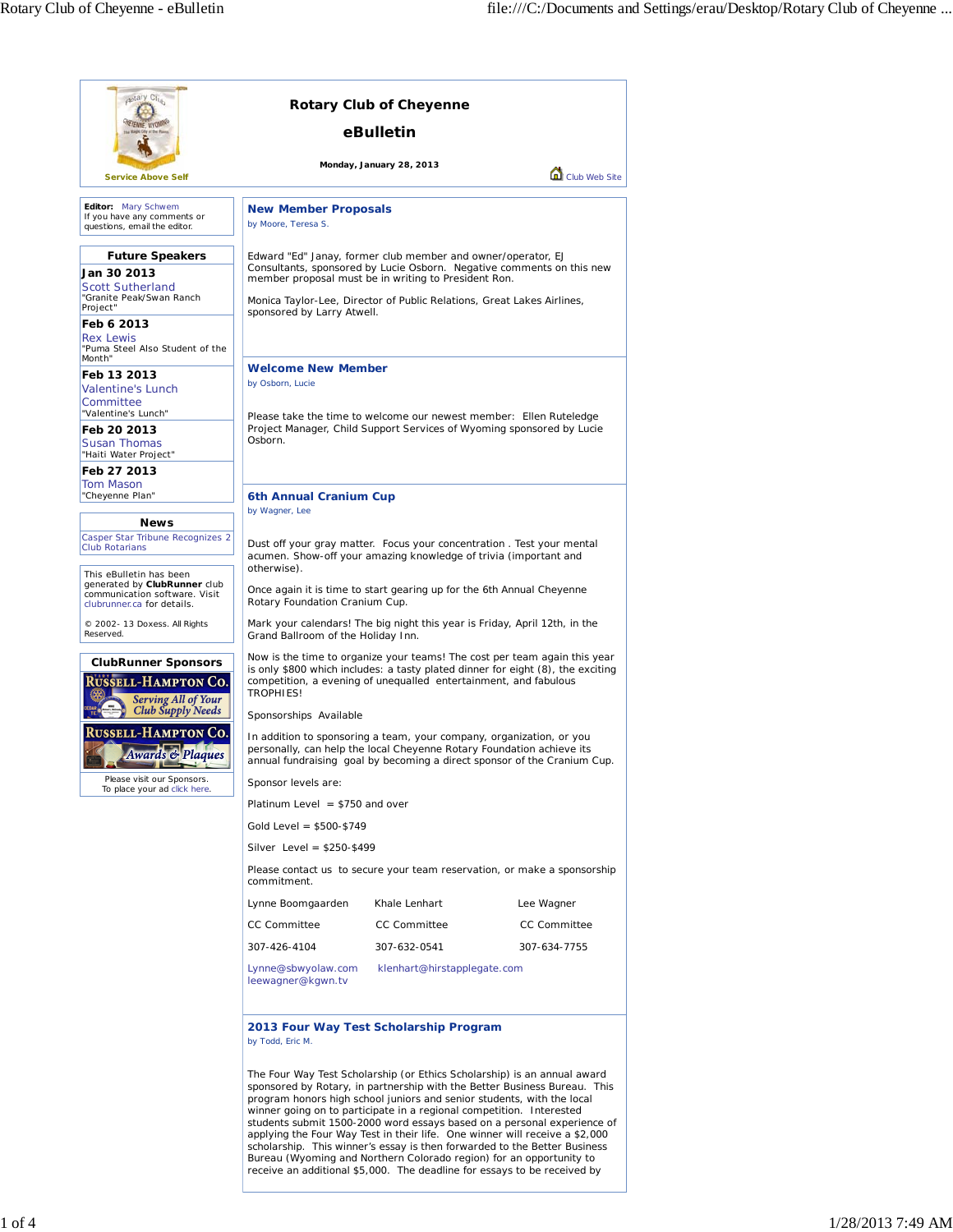| aptary City<br><b>Rotary Club of Cheyenne</b>                                                                          |                                                                                                                                                                                                                                               |                                                                                                                                                                                                                                                                                                                                                                                                                                                                                                                                           |                                                                                                                                                      |  |
|------------------------------------------------------------------------------------------------------------------------|-----------------------------------------------------------------------------------------------------------------------------------------------------------------------------------------------------------------------------------------------|-------------------------------------------------------------------------------------------------------------------------------------------------------------------------------------------------------------------------------------------------------------------------------------------------------------------------------------------------------------------------------------------------------------------------------------------------------------------------------------------------------------------------------------------|------------------------------------------------------------------------------------------------------------------------------------------------------|--|
|                                                                                                                        | eBulletin                                                                                                                                                                                                                                     |                                                                                                                                                                                                                                                                                                                                                                                                                                                                                                                                           |                                                                                                                                                      |  |
| <b>Service Above Self</b>                                                                                              |                                                                                                                                                                                                                                               | Monday, January 28, 2013                                                                                                                                                                                                                                                                                                                                                                                                                                                                                                                  | Club Web Site                                                                                                                                        |  |
|                                                                                                                        |                                                                                                                                                                                                                                               |                                                                                                                                                                                                                                                                                                                                                                                                                                                                                                                                           |                                                                                                                                                      |  |
| Editor: Mary Schwem<br>If you have any comments or<br>questions, email the editor.                                     | <b>New Member Proposals</b><br>by Moore, Teresa S.                                                                                                                                                                                            |                                                                                                                                                                                                                                                                                                                                                                                                                                                                                                                                           |                                                                                                                                                      |  |
| <b>Future Speakers</b>                                                                                                 |                                                                                                                                                                                                                                               | Edward "Ed" Janay, former club member and owner/operator, EJ                                                                                                                                                                                                                                                                                                                                                                                                                                                                              |                                                                                                                                                      |  |
| Jan 30 2013<br>Scott Sutherland<br>"Granite Peak/Swan Ranch                                                            | Consultants, sponsored by Lucie Osborn. Negative comments on this new<br>member proposal must be in writing to President Ron.<br>Monica Taylor-Lee, Director of Public Relations, Great Lakes Airlines,                                       |                                                                                                                                                                                                                                                                                                                                                                                                                                                                                                                                           |                                                                                                                                                      |  |
| Project"                                                                                                               | sponsored by Larry Atwell.                                                                                                                                                                                                                    |                                                                                                                                                                                                                                                                                                                                                                                                                                                                                                                                           |                                                                                                                                                      |  |
| Feb 6 2013<br>Rex Lewis<br>"Puma Steel Also Student of the<br>Month"                                                   |                                                                                                                                                                                                                                               |                                                                                                                                                                                                                                                                                                                                                                                                                                                                                                                                           |                                                                                                                                                      |  |
| Feb 13 2013                                                                                                            | <b>Welcome New Member</b><br>by Osborn, Lucie                                                                                                                                                                                                 |                                                                                                                                                                                                                                                                                                                                                                                                                                                                                                                                           |                                                                                                                                                      |  |
| <b>Valentine's Lunch</b><br>Committee                                                                                  |                                                                                                                                                                                                                                               |                                                                                                                                                                                                                                                                                                                                                                                                                                                                                                                                           |                                                                                                                                                      |  |
| "Valentine's Lunch"                                                                                                    |                                                                                                                                                                                                                                               | Please take the time to welcome our newest member: Ellen Ruteledge                                                                                                                                                                                                                                                                                                                                                                                                                                                                        |                                                                                                                                                      |  |
| Feb 20 2013<br>Susan Thomas<br>"Haiti Water Project"                                                                   | Project Manager, Child Support Services of Wyoming sponsored by Lucie<br>Osborn.                                                                                                                                                              |                                                                                                                                                                                                                                                                                                                                                                                                                                                                                                                                           |                                                                                                                                                      |  |
| Feb 27 2013                                                                                                            |                                                                                                                                                                                                                                               |                                                                                                                                                                                                                                                                                                                                                                                                                                                                                                                                           |                                                                                                                                                      |  |
| Tom Mason<br>"Cheyenne Plan"                                                                                           | 6th Annual Cranium Cup                                                                                                                                                                                                                        |                                                                                                                                                                                                                                                                                                                                                                                                                                                                                                                                           |                                                                                                                                                      |  |
| <b>News</b>                                                                                                            | by Wagner, Lee                                                                                                                                                                                                                                |                                                                                                                                                                                                                                                                                                                                                                                                                                                                                                                                           |                                                                                                                                                      |  |
| Casper Star Tribune Recognizes 2<br><b>Club Rotarians</b>                                                              |                                                                                                                                                                                                                                               | Dust off your gray matter. Focus your concentration. Test your mental<br>acumen. Show-off your amazing knowledge of trivia (important and                                                                                                                                                                                                                                                                                                                                                                                                 |                                                                                                                                                      |  |
| This eBulletin has been<br>generated by ClubRunner club<br>communication software. Visit<br>clubrunner.ca for details. | otherwise).<br>Rotary Foundation Cranium Cup.                                                                                                                                                                                                 | Once again it is time to start gearing up for the 6th Annual Cheyenne                                                                                                                                                                                                                                                                                                                                                                                                                                                                     |                                                                                                                                                      |  |
| © 2002-13 Doxess. All Rights<br>Reserved.                                                                              | Grand Ballroom of the Holiday Inn.                                                                                                                                                                                                            | Mark your calendars! The big night this year is Friday, April 12th, in the                                                                                                                                                                                                                                                                                                                                                                                                                                                                |                                                                                                                                                      |  |
| <b>ClubRunner Sponsors</b><br><b>USSELL-HAMPTON CO.</b><br><b>Serving All of Your</b>                                  | Now is the time to organize your teams! The cost per team again this year<br>is only \$800 which includes: a tasty plated dinner for eight (8), the exciting<br>competition, a evening of unequalled entertainment, and fabulous<br>TROPHIES! |                                                                                                                                                                                                                                                                                                                                                                                                                                                                                                                                           |                                                                                                                                                      |  |
| <b>Club Supply Needs</b>                                                                                               | Sponsorships Available                                                                                                                                                                                                                        |                                                                                                                                                                                                                                                                                                                                                                                                                                                                                                                                           |                                                                                                                                                      |  |
| Russell-Hampton Co.<br><b>Awards &amp; Plaques</b>                                                                     | In addition to sponsoring a team, your company, organization, or you<br>personally, can help the local Cheyenne Rotary Foundation achieve its<br>annual fundraising goal by becoming a direct sponsor of the Cranium Cup.                     |                                                                                                                                                                                                                                                                                                                                                                                                                                                                                                                                           |                                                                                                                                                      |  |
| Please visit our Sponsors.<br>To place your ad click here.                                                             | Sponsor levels are:                                                                                                                                                                                                                           |                                                                                                                                                                                                                                                                                                                                                                                                                                                                                                                                           |                                                                                                                                                      |  |
|                                                                                                                        | Platinum Level $= $750$ and over                                                                                                                                                                                                              |                                                                                                                                                                                                                                                                                                                                                                                                                                                                                                                                           |                                                                                                                                                      |  |
|                                                                                                                        | Gold Level = $$500-$749$                                                                                                                                                                                                                      |                                                                                                                                                                                                                                                                                                                                                                                                                                                                                                                                           |                                                                                                                                                      |  |
|                                                                                                                        | Silver Level = $$250-$499$                                                                                                                                                                                                                    |                                                                                                                                                                                                                                                                                                                                                                                                                                                                                                                                           |                                                                                                                                                      |  |
|                                                                                                                        | Please contact us to secure your team reservation, or make a sponsorship<br>commitment.                                                                                                                                                       |                                                                                                                                                                                                                                                                                                                                                                                                                                                                                                                                           |                                                                                                                                                      |  |
|                                                                                                                        | Lynne Boomgaarden                                                                                                                                                                                                                             | Khale Lenhart                                                                                                                                                                                                                                                                                                                                                                                                                                                                                                                             | Lee Wagner                                                                                                                                           |  |
|                                                                                                                        | <b>CC Committee</b>                                                                                                                                                                                                                           | CC Committee                                                                                                                                                                                                                                                                                                                                                                                                                                                                                                                              | <b>CC Committee</b>                                                                                                                                  |  |
|                                                                                                                        | 307-426-4104                                                                                                                                                                                                                                  | 307-632-0541                                                                                                                                                                                                                                                                                                                                                                                                                                                                                                                              | 307-634-7755                                                                                                                                         |  |
|                                                                                                                        | Lynne@sbwyolaw.com<br>leewagner@kgwn.tv                                                                                                                                                                                                       | klenhart@hirstapplegate.com                                                                                                                                                                                                                                                                                                                                                                                                                                                                                                               |                                                                                                                                                      |  |
|                                                                                                                        | by Todd, Eric M.                                                                                                                                                                                                                              | 2013 Four Way Test Scholarship Program                                                                                                                                                                                                                                                                                                                                                                                                                                                                                                    |                                                                                                                                                      |  |
|                                                                                                                        |                                                                                                                                                                                                                                               | The Four Way Test Scholarship (or Ethics Scholarship) is an annual award<br>program honors high school juniors and senior students, with the local<br>winner going on to participate in a regional competition. Interested<br>applying the Four Way Test in their life. One winner will receive a \$2,000<br>scholarship. This winner's essay is then forwarded to the Better Business<br>Bureau (Wyoming and Northern Colorado region) for an opportunity to<br>receive an additional \$5,000. The deadline for essays to be received by | sponsored by Rotary, in partnership with the Better Business Bureau. This<br>students submit 1500-2000 word essays based on a personal experience of |  |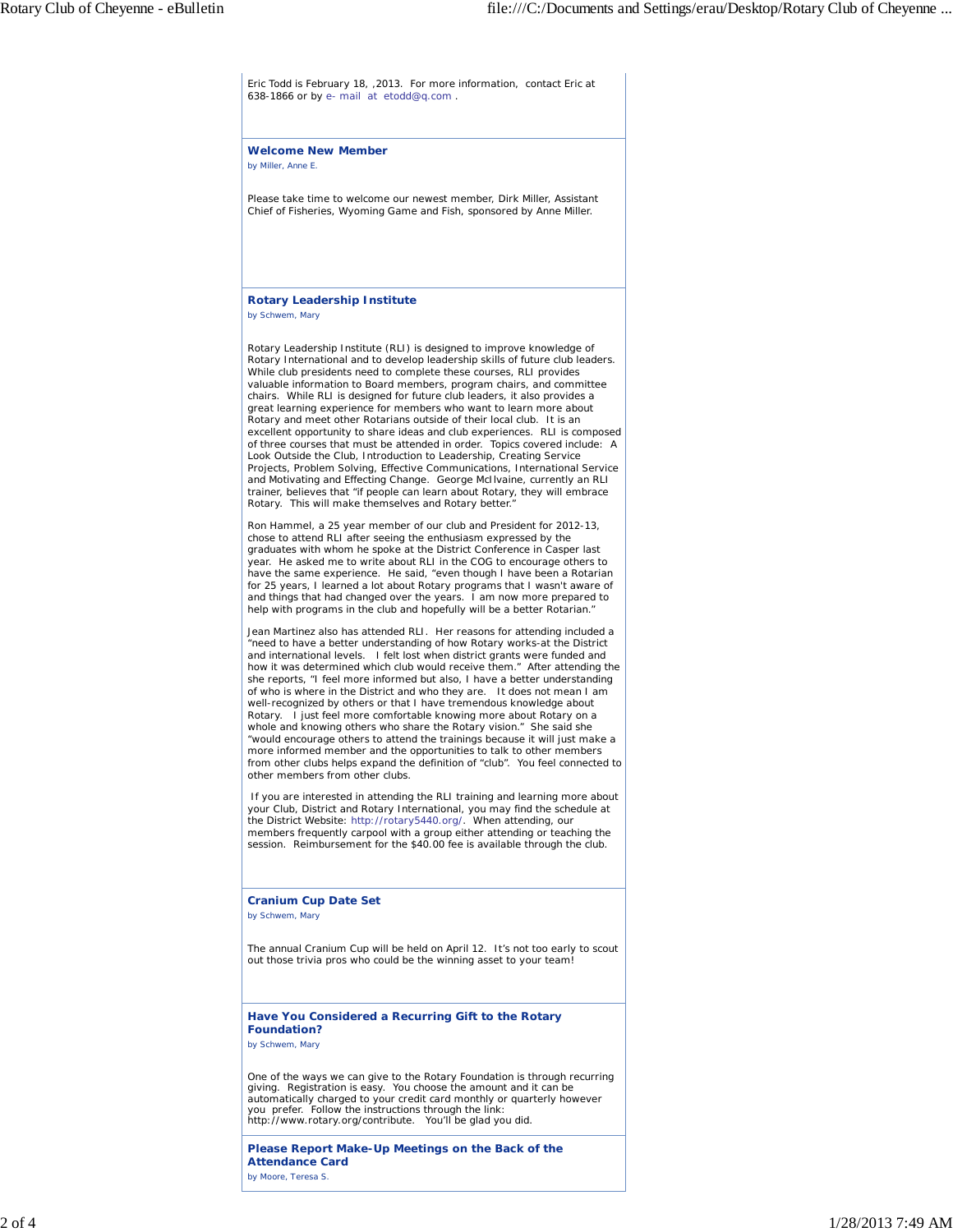Eric Todd is February 18, ,2013. For more information, contact Eric at 638-1866 or by e- mail at etodd@q.com .

**Welcome New Member** *by Miller, Anne E.*

Please take time to welcome our newest member, Dirk Miller, Assistant Chief of Fisheries, Wyoming Game and Fish, sponsored by Anne Miller.

## **Rotary Leadership Institute**

*by Schwem, Mary*

Rotary Leadership Institute (RLI) is designed to improve knowledge of Rotary International and to develop leadership skills of future club leaders. While club presidents need to complete these courses, RLI provides valuable information to Board members, program chairs, and committee chairs. While RLI is designed for future club leaders, it also provides a great learning experience for members who want to learn more about Rotary and meet other Rotarians outside of their local club. It is an excellent opportunity to share ideas and club experiences. RLI is composed of three courses that must be attended in order. Topics covered include: A Look Outside the Club, Introduction to Leadership, Creating Service Projects, Problem Solving, Effective Communications, International Service and Motivating and Effecting Change. George McIlvaine, currently an RLI trainer, believes that "if people can learn about Rotary, they will embrace Rotary. This will make themselves and Rotary better."

Ron Hammel, a 25 year member of our club and President for 2012-13, chose to attend RLI after seeing the enthusiasm expressed by the graduates with whom he spoke at the District Conference in Casper last year. He asked me to write about RLI in the COG to encourage others to have the same experience. He said, "even though I have been a Rotarian for 25 years, I learned a lot about Rotary programs that I wasn't aware of and things that had changed over the years. I am now more prepared to help with programs in the club and hopefully will be a better Rotarian."

Jean Martinez also has attended RLI. Her reasons for attending included a "need to have a better understanding of how Rotary works-at the District and international levels. I felt lost when district grants were funded and how it was determined which club would receive them." After attending the she reports, "I feel more informed but also, I have a better understanding of who is where in the District and who they are. It does not mean I am well-recognized by others or that I have tremendous knowledge about Rotary. I just feel more comfortable knowing more about Rotary on a whole and knowing others who share the Rotary vision." She said she "would encourage others to attend the trainings because it will just make a more informed member and the opportunities to talk to other members from other clubs helps expand the definition of "club". You feel connected to other members from other clubs.

 If you are interested in attending the RLI training and learning more about your Club, District and Rotary International, you may find the schedule at the District Website: http://rotary5440.org/. When attending, our members frequently carpool with a group either attending or teaching the session. Reimbursement for the \$40.00 fee is available through the club.

## **Cranium Cup Date Set**

*by Schwem, Mary*

The annual Cranium Cup will be held on April 12. It's not too early to scout out those trivia pros who could be the winning asset to your team!

## **Have You Considered a Recurring Gift to the Rotary Foundation?**

*by Schwem, Mary*

One of the ways we can give to the Rotary Foundation is through recurring giving. Registration is easy. You choose the amount and it can be automatically charged to your credit card monthly or quarterly however<br>you prefer. Follow the instructions through the link:<br>http://www.rotary.org/contribute. You'll be glad you did.

**Please Report Make-Up Meetings on the Back of the Attendance Card** *by Moore, Teresa S.*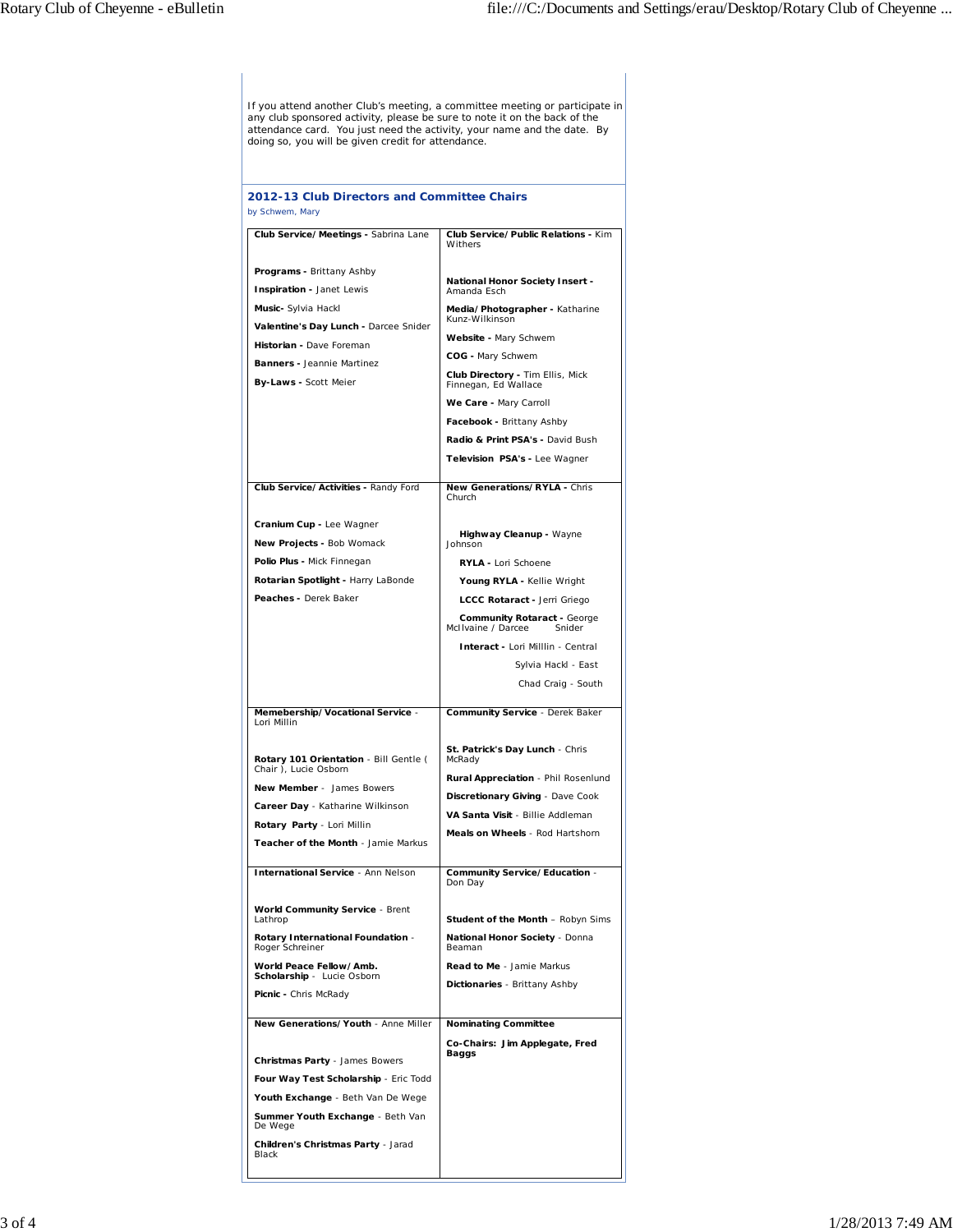If you attend another Club's meeting, a committee meeting or participate in<br>any club sponsored activity, please be sure to note it on the back of the<br>attendance card. You just need the activity, your name and the date. By<br>

| 2012-13 Club Directors and Committee Chairs<br>by Schwem, Mary                                                                                                                                                           |                                                                                                                                                                                                                                                                                                                                          |  |
|--------------------------------------------------------------------------------------------------------------------------------------------------------------------------------------------------------------------------|------------------------------------------------------------------------------------------------------------------------------------------------------------------------------------------------------------------------------------------------------------------------------------------------------------------------------------------|--|
| Club Service/Meetings - Sabrina Lane                                                                                                                                                                                     | Club Service/Public Relations - Kim<br>Withers                                                                                                                                                                                                                                                                                           |  |
| Programs - Brittany Ashby<br>Inspiration - Janet Lewis<br>Music- Sylvia Hackl<br>Valentine's Day Lunch - Darcee Snider<br>Historian - Dave Foreman<br><b>Banners - Jeannie Martinez</b><br>By-Laws - Scott Meier         | National Honor Society Insert -<br>Amanda Esch<br>Media/Photographer - Katharine<br>Kunz-Wilkinson<br>Website - Mary Schwem<br>COG - Mary Schwem<br>Club Directory - Tim Ellis, Mick<br>Finnegan, Ed Wallace<br>We Care - Mary Carroll<br>Facebook - Brittany Ashby<br>Radio & Print PSA's - David Bush<br>Television PSA's - Lee Wagner |  |
| Club Service/Activities - Randy Ford                                                                                                                                                                                     | New Generations/RYLA - Chris<br>Church                                                                                                                                                                                                                                                                                                   |  |
| Cranium Cup - Lee Wagner<br>New Projects - Bob Womack<br>Polio Plus - Mick Finnegan<br>Rotarian Spotlight - Harry LaBonde<br>Peaches - Derek Baker                                                                       | Highway Cleanup - Wayne<br>Johnson<br>RYLA - Lori Schoene<br>Young RYLA - Kellie Wright<br>LCCC Rotaract - Jerri Griego<br><b>Community Rotaract - George</b><br>McIIvaine / Darcee<br>Snider<br>Interact - Lori Milllin - Central<br>Sylvia Hackl - East<br>Chad Craig - South                                                          |  |
| Memebership/Vocational Service -                                                                                                                                                                                         | Community Service - Derek Baker                                                                                                                                                                                                                                                                                                          |  |
| Lori Millin<br>Rotary 101 Orientation - Bill Gentle (<br>Chair ), Lucie Osborn<br>New Member - James Bowers<br>Career Day - Katharine Wilkinson<br>Rotary Party - Lori Millin<br>Teacher of the Month - Jamie Markus     | St. Patrick's Day Lunch - Chris<br>McRady<br>Rural Appreciation - Phil Rosenlund<br>Discretionary Giving - Dave Cook<br>VA Santa Visit - Billie Addleman<br>Meals on Wheels - Rod Hartshorn                                                                                                                                              |  |
| <b>International Service - Ann Nelson</b>                                                                                                                                                                                | Community Service/Education -<br>Don Day                                                                                                                                                                                                                                                                                                 |  |
| <b>World Community Service - Brent</b><br>Lathrop<br>Rotary International Foundation -<br>Roger Schreiner<br>World Peace Fellow/Amb.<br>Scholarship - Lucie Osborn<br>Picnic - Chris McRady                              | <b>Student of the Month - Robyn Sims</b><br>National Honor Society - Donna<br>Beaman<br>Read to Me - Jamie Markus<br>Dictionaries - Brittany Ashby                                                                                                                                                                                       |  |
| New Generations/Youth - Anne Miller                                                                                                                                                                                      | <b>Nominating Committee</b>                                                                                                                                                                                                                                                                                                              |  |
| <b>Christmas Party - James Bowers</b><br>Four Way Test Scholarship - Eric Todd<br>Youth Exchange - Beth Van De Wege<br>Summer Youth Exchange - Beth Van<br>De Wege<br><b>Children's Christmas Party - Jarad</b><br>Black | Co-Chairs: Jim Applegate, Fred<br>Baggs                                                                                                                                                                                                                                                                                                  |  |